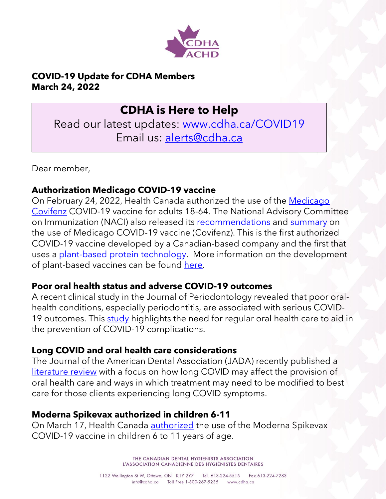

#### **COVID-19 Update for CDHA Members March 24, 2022**

# **CDHA is Here to Help**

Read our latest updates: [www.cdha.ca/C](http://www.cdha.ca/safetyalerts)OVID19 Email us: [alerts@cdha.ca](mailto:alerts@cdha.ca)

Dear member,

## **Authorization Medicago COVID-19 vaccine**

On February 24, 2022, Health Canada authorized the use of the [Medicago](https://www.canada.ca/en/health-canada/news/2022/02/health-canada-authorizes-medicago-covid-19-vaccine-for-adults-18-to-64-years-of-age.html)  [Covifenz](https://www.canada.ca/en/health-canada/news/2022/02/health-canada-authorizes-medicago-covid-19-vaccine-for-adults-18-to-64-years-of-age.html) COVID-19 vaccine for adults 18-64. The National Advisory Committee on Immunization (NACI) also released its [recommendations](https://www.canada.ca/content/dam/phac-aspc/documents/services/immunization/national-advisory-committee-on-immunization-naci/recommendations-use-medicago-covid-19-vaccine/recommendations-use-medicago-covid-19-vaccine.pdf) and [summary](https://www.canada.ca/content/dam/phac-aspc/documents/services/immunization/national-advisory-committee-on-immunization-naci/recommendations-use-medicago-covid-19-vaccine/recommendations-use-medicago-covid-19-vaccinesummary-march-11-2022.pdf) on the use of Medicago COVID-19 vaccine (Covifenz). This is the first authorized COVID-19 vaccine developed by a Canadian-based company and the first that uses a [plant-based protein technology.](https://www.canada.ca/en/health-canada/services/drugs-health-products/covid19-industry/drugs-vaccines-treatments/vaccines/plant-based.html) More information on the development of plant-based vaccines can be found [here.](https://www.mdpi.com/2076-393X/10/1/100/htm)

### **Poor oral health status and adverse COVID-19 outcomes**

A recent clinical study in the Journal of Periodontology revealed that poor oralhealth conditions, especially periodontitis, are associated with serious COVID19 outcomes. This [study](https://aap.onlinelibrary.wiley.com/doi/10.1002/JPER.21-0624) highlights the need for regular oral health care to aid in the prevention of COVID-19 complications.

## **Long COVID and oral health care considerations**

The Journal of the American Dental Association (JADA) recently published a [literature](https://jada.ada.org/action/showPdf?pii=S0002-8177%2821%2900517-1) review with a focus on how long COVID may affect the provision of oral health care and ways in which treatment may need to be modified to best care for those clients experiencing long COVID symptoms.

## **Moderna Spikevax authorized in children 6-11**

On March 17, Health Canada [authorized](https://www.canada.ca/en/health-canada/news/2022/03/health-canada-authorizes-use-of-the-moderna-spikevax-50-mcg-covid-19-vaccine-in-children-6-to-11-years-of-age.html) the use of the Moderna Spikevax COVID-19 vaccine in children 6 to 11 years of age.

> THE CANADIAN DENTAL HYGIENISTS ASSOCIATION L'ASSOCIATION CANADIENNE DES HYGIÉNISTES DENTAIRES